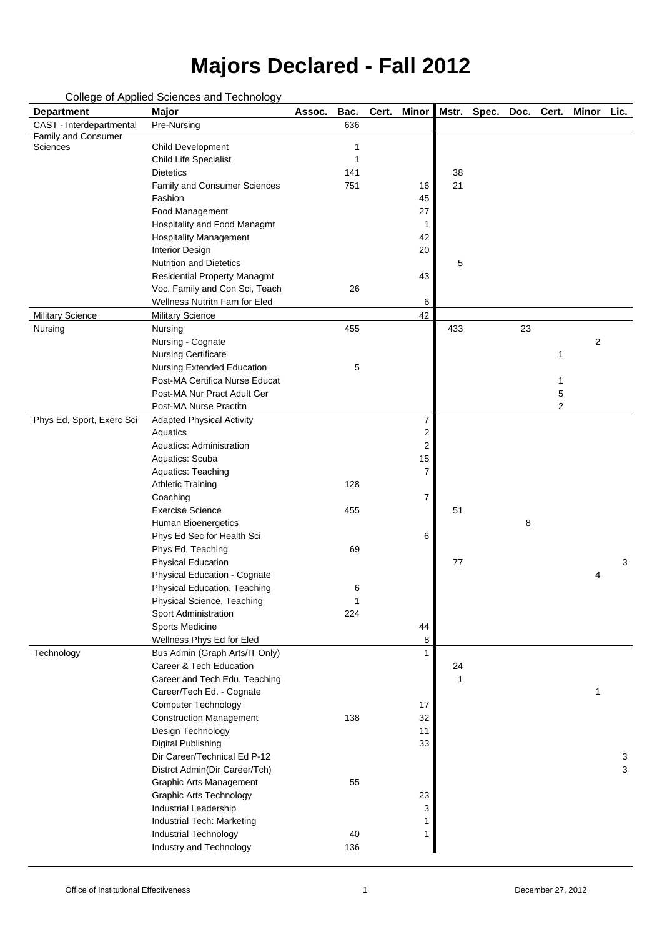#### College of Applied Sciences and Technology

| <b>Department</b>                      | sonogo or rippiroa sororroos arra i sormoro<br>Major      | Assoc. | Bac.   | Cert. | <b>Minor</b>   | Mstr. | Spec. | Doc. | Cert. | <b>Minor</b>   | Lic. |
|----------------------------------------|-----------------------------------------------------------|--------|--------|-------|----------------|-------|-------|------|-------|----------------|------|
| CAST - Interdepartmental               | Pre-Nursing                                               |        | 636    |       |                |       |       |      |       |                |      |
| Family and Consumer<br><b>Sciences</b> | <b>Child Development</b>                                  |        |        |       |                |       |       |      |       |                |      |
|                                        | <b>Child Life Specialist</b>                              |        |        |       |                |       |       |      |       |                |      |
|                                        | <b>Dietetics</b>                                          |        | 141    |       |                | 38    |       |      |       |                |      |
|                                        | <b>Family and Consumer Sciences</b>                       |        | 751    |       | 16             | 21    |       |      |       |                |      |
|                                        | Fashion                                                   |        |        |       | 45             |       |       |      |       |                |      |
|                                        | Food Management                                           |        |        |       | 27             |       |       |      |       |                |      |
|                                        | Hospitality and Food Managmt                              |        |        |       |                |       |       |      |       |                |      |
|                                        | <b>Hospitality Management</b>                             |        |        |       | 42             |       |       |      |       |                |      |
|                                        | <b>Interior Design</b>                                    |        |        |       | 20             |       |       |      |       |                |      |
|                                        | <b>Nutrition and Dietetics</b>                            |        |        |       |                | 5     |       |      |       |                |      |
|                                        | <b>Residential Property Managmt</b>                       |        |        |       | 43             |       |       |      |       |                |      |
|                                        | Voc. Family and Con Sci, Teach                            |        | 26     |       |                |       |       |      |       |                |      |
|                                        | Wellness Nutritn Fam for Eled                             |        |        |       | 6              |       |       |      |       |                |      |
| <b>Military Science</b>                | <b>Military Science</b>                                   |        |        |       | 42             |       |       |      |       |                |      |
| Nursing                                | Nursing                                                   |        | 455    |       |                | 433   |       | 23   |       |                |      |
|                                        | Nursing - Cognate                                         |        |        |       |                |       |       |      |       | $\overline{2}$ |      |
|                                        | <b>Nursing Certificate</b>                                |        |        |       |                |       |       |      | 1     |                |      |
|                                        | <b>Nursing Extended Education</b>                         |        | 5      |       |                |       |       |      |       |                |      |
|                                        | Post-MA Certifica Nurse Educat                            |        |        |       |                |       |       |      |       |                |      |
|                                        | Post-MA Nur Pract Adult Ger                               |        |        |       |                |       |       |      | 5     |                |      |
|                                        | Post-MA Nurse Practitn                                    |        |        |       |                |       |       |      | 2     |                |      |
| Phys Ed, Sport, Exerc Sci              | <b>Adapted Physical Activity</b>                          |        |        |       | 7              |       |       |      |       |                |      |
|                                        | Aquatics                                                  |        |        |       | 2              |       |       |      |       |                |      |
|                                        | Aquatics: Administration                                  |        |        |       | $\overline{2}$ |       |       |      |       |                |      |
|                                        | Aquatics: Scuba                                           |        |        |       | 15             |       |       |      |       |                |      |
|                                        | Aquatics: Teaching                                        |        |        |       | 7              |       |       |      |       |                |      |
|                                        | <b>Athletic Training</b>                                  |        | 128    |       |                |       |       |      |       |                |      |
|                                        | Coaching                                                  |        |        |       | 7              |       |       |      |       |                |      |
|                                        | <b>Exercise Science</b>                                   |        | 455    |       |                | 51    |       |      |       |                |      |
|                                        | <b>Human Bioenergetics</b>                                |        |        |       |                |       |       | 8    |       |                |      |
|                                        | Phys Ed Sec for Health Sci                                |        |        |       | 6              |       |       |      |       |                |      |
|                                        | Phys Ed, Teaching                                         |        | 69     |       |                |       |       |      |       |                |      |
|                                        | <b>Physical Education</b>                                 |        |        |       |                | 77    |       |      |       |                | 3    |
|                                        | Physical Education - Cognate                              |        |        |       |                |       |       |      |       | 4              |      |
|                                        | Physical Education, Teaching                              |        | 6<br>1 |       |                |       |       |      |       |                |      |
|                                        | Physical Science, Teaching<br><b>Sport Administration</b> |        | 224    |       |                |       |       |      |       |                |      |
|                                        | Sports Medicine                                           |        |        |       | 44             |       |       |      |       |                |      |
|                                        | Wellness Phys Ed for Eled                                 |        |        |       | 8              |       |       |      |       |                |      |
| Technology                             | Bus Admin (Graph Arts/IT Only)                            |        |        |       |                |       |       |      |       |                |      |
|                                        | Career & Tech Education                                   |        |        |       |                | 24    |       |      |       |                |      |
|                                        | Career and Tech Edu, Teaching                             |        |        |       |                | 1     |       |      |       |                |      |
|                                        | Career/Tech Ed. - Cognate                                 |        |        |       |                |       |       |      |       | 1              |      |
|                                        | <b>Computer Technology</b>                                |        |        |       | 17             |       |       |      |       |                |      |
|                                        | <b>Construction Management</b>                            |        | 138    |       | 32             |       |       |      |       |                |      |
|                                        | Design Technology                                         |        |        |       | 11             |       |       |      |       |                |      |
|                                        | <b>Digital Publishing</b>                                 |        |        |       | 33             |       |       |      |       |                |      |
|                                        | Dir Career/Technical Ed P-12                              |        |        |       |                |       |       |      |       |                | 3    |
|                                        | Distrct Admin(Dir Career/Tch)                             |        |        |       |                |       |       |      |       |                | 3    |
|                                        | <b>Graphic Arts Management</b>                            |        | 55     |       |                |       |       |      |       |                |      |
|                                        | <b>Graphic Arts Technology</b>                            |        |        |       | 23             |       |       |      |       |                |      |
|                                        | <b>Industrial Leadership</b>                              |        |        |       | 3              |       |       |      |       |                |      |
|                                        | Industrial Tech: Marketing                                |        |        |       |                |       |       |      |       |                |      |
|                                        | <b>Industrial Technology</b>                              |        | 40     |       |                |       |       |      |       |                |      |
|                                        | Industry and Technology                                   |        | 136    |       |                |       |       |      |       |                |      |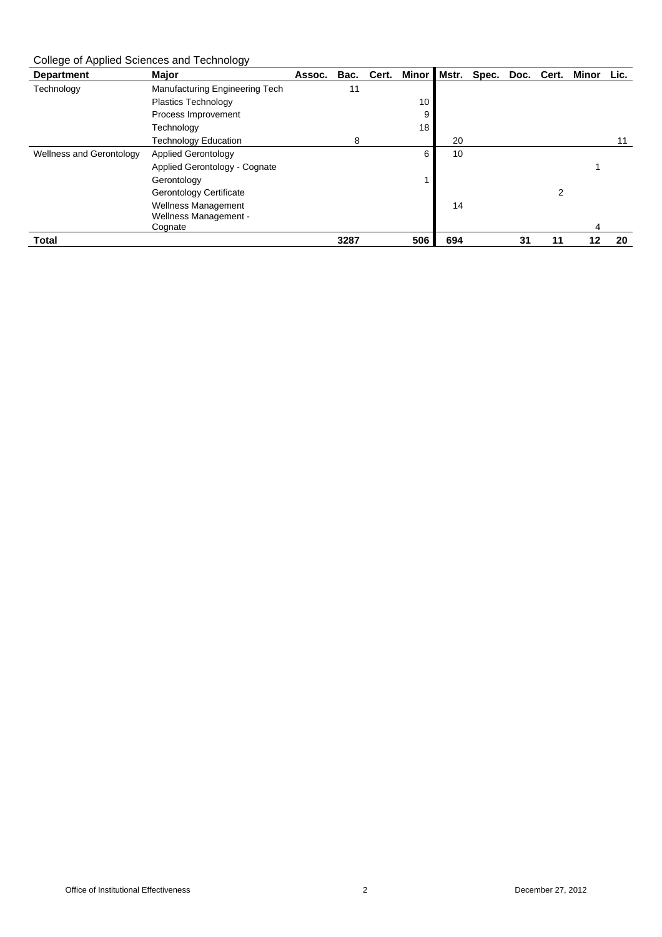College of Applied Sciences and Technology

| <b>Department</b>               | <b>Major</b>                   | Assoc. | Bac. | Cert. | <b>Minor</b> | Mstr. | Spec. | Doc. | Cert. | Minor | Lic. |
|---------------------------------|--------------------------------|--------|------|-------|--------------|-------|-------|------|-------|-------|------|
| Technology                      | Manufacturing Engineering Tech |        | 11   |       |              |       |       |      |       |       |      |
|                                 | <b>Plastics Technology</b>     |        |      |       | 10           |       |       |      |       |       |      |
|                                 | Process Improvement            |        |      |       | 9            |       |       |      |       |       |      |
|                                 | Technology                     |        |      |       | 18           |       |       |      |       |       |      |
|                                 | <b>Technology Education</b>    |        | 8    |       |              | 20    |       |      |       |       |      |
| <b>Wellness and Gerontology</b> | <b>Applied Gerontology</b>     |        |      |       | 6            | 10    |       |      |       |       |      |
|                                 | Applied Gerontology - Cognate  |        |      |       |              |       |       |      |       |       |      |
|                                 | Gerontology                    |        |      |       |              |       |       |      |       |       |      |
|                                 | <b>Gerontology Certificate</b> |        |      |       |              |       |       |      | 2     |       |      |
|                                 | <b>Wellness Management</b>     |        |      |       |              | 14    |       |      |       |       |      |
|                                 | Wellness Management -          |        |      |       |              |       |       |      |       |       |      |
|                                 | Cognate                        |        |      |       |              |       |       |      |       | 4     |      |
| <b>Total</b>                    |                                |        | 3287 |       | 506          | 694   |       | 31   | 11    | 12    | 20   |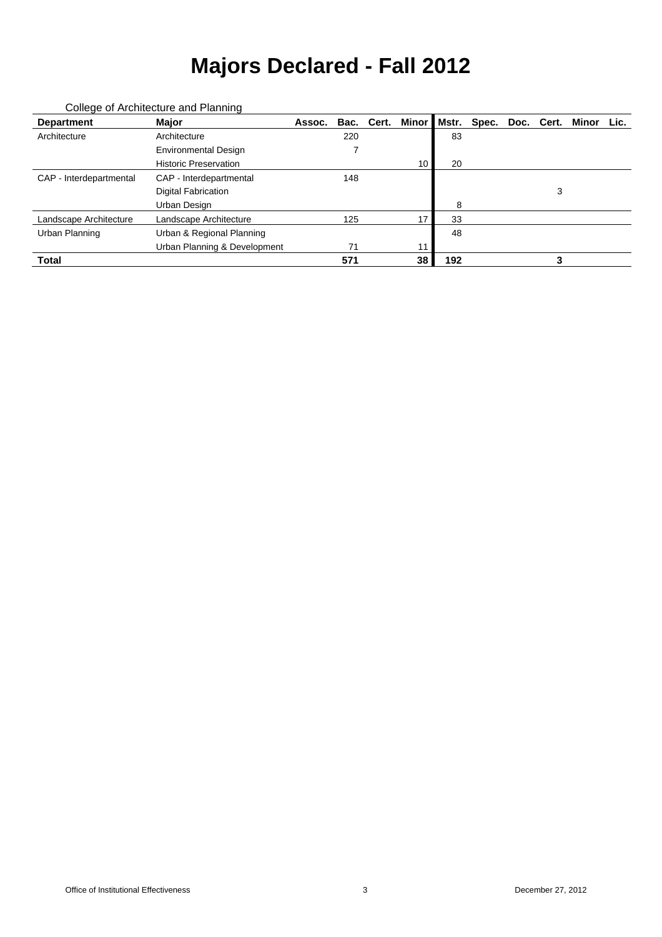| <b>Department</b>       | <b>Major</b>                 | Assoc. |     | Bac. Cert. | <b>Minor</b> | Mstr. | Spec. |   | Doc. Cert. Minor | Lic. |
|-------------------------|------------------------------|--------|-----|------------|--------------|-------|-------|---|------------------|------|
| Architecture            | Architecture                 |        | 220 |            |              | 83    |       |   |                  |      |
|                         | <b>Environmental Design</b>  |        |     |            |              |       |       |   |                  |      |
|                         | <b>Historic Preservation</b> |        |     |            | 10           | 20    |       |   |                  |      |
| CAP - Interdepartmental | CAP - Interdepartmental      |        | 148 |            |              |       |       |   |                  |      |
|                         | <b>Digital Fabrication</b>   |        |     |            |              |       |       | 3 |                  |      |
|                         | Urban Design                 |        |     |            |              | 8     |       |   |                  |      |
| Landscape Architecture  | Landscape Architecture       |        | 125 |            | 17           | 33    |       |   |                  |      |
| Urban Planning          | Urban & Regional Planning    |        |     |            |              | 48    |       |   |                  |      |
|                         | Urban Planning & Development |        | 71  |            | 11           |       |       |   |                  |      |
| <b>Total</b>            |                              |        | 571 |            | 38           | 192   |       |   |                  |      |

#### College of Architecture and Planning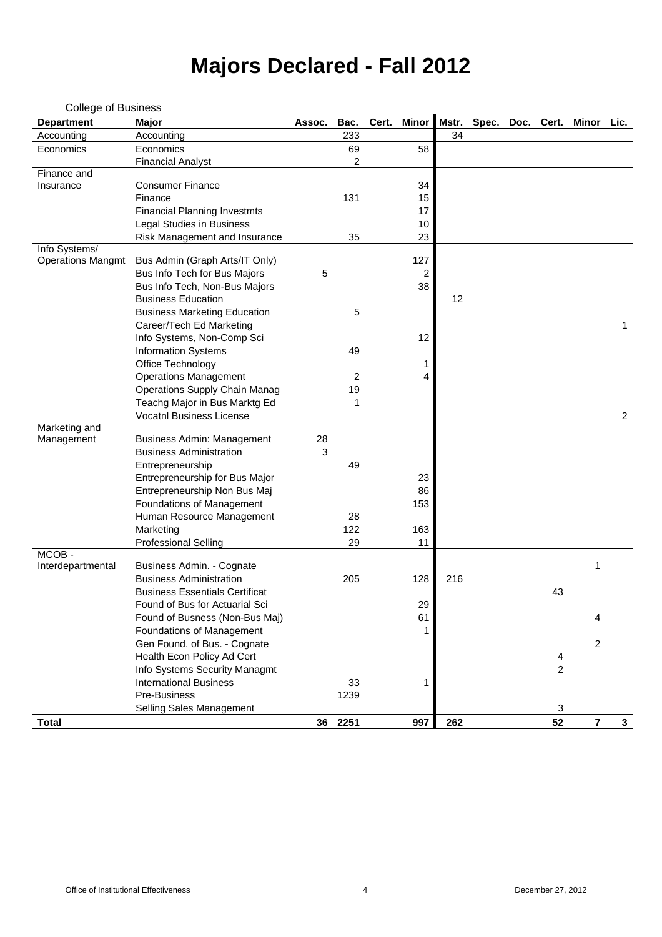| <b>College of Business</b>  |                                       |        |                |       |                |       |       |      |                |                |                |
|-----------------------------|---------------------------------------|--------|----------------|-------|----------------|-------|-------|------|----------------|----------------|----------------|
| <b>Department</b>           | <b>Major</b>                          | Assoc. | Bac.           | Cert. | <b>Minor</b>   | Mstr. | Spec. | Doc. | Cert.          | <b>Minor</b>   | Lic.           |
| Accounting                  | Accounting                            |        | 233            |       |                | 34    |       |      |                |                |                |
| Economics                   | Economics                             |        | 69             |       | 58             |       |       |      |                |                |                |
|                             | <b>Financial Analyst</b>              |        | $\overline{2}$ |       |                |       |       |      |                |                |                |
| Finance and                 |                                       |        |                |       |                |       |       |      |                |                |                |
| Insurance                   | <b>Consumer Finance</b>               |        |                |       | 34             |       |       |      |                |                |                |
|                             | Finance                               |        | 131            |       | 15             |       |       |      |                |                |                |
|                             | <b>Financial Planning Investmts</b>   |        |                |       | 17             |       |       |      |                |                |                |
|                             | <b>Legal Studies in Business</b>      |        |                |       | 10             |       |       |      |                |                |                |
|                             | Risk Management and Insurance         |        | 35             |       | 23             |       |       |      |                |                |                |
| Info Systems/               |                                       |        |                |       |                |       |       |      |                |                |                |
| <b>Operations Mangmt</b>    | Bus Admin (Graph Arts/IT Only)        |        |                |       | 127            |       |       |      |                |                |                |
|                             | Bus Info Tech for Bus Majors          | 5      |                |       | $\overline{c}$ |       |       |      |                |                |                |
|                             | Bus Info Tech, Non-Bus Majors         |        |                |       | 38             |       |       |      |                |                |                |
|                             | <b>Business Education</b>             |        |                |       |                | 12    |       |      |                |                |                |
|                             | <b>Business Marketing Education</b>   |        | 5              |       |                |       |       |      |                |                |                |
|                             | Career/Tech Ed Marketing              |        |                |       |                |       |       |      |                |                | $\mathbf 1$    |
|                             | Info Systems, Non-Comp Sci            |        |                |       | 12             |       |       |      |                |                |                |
|                             | <b>Information Systems</b>            |        | 49             |       |                |       |       |      |                |                |                |
|                             | Office Technology                     |        |                |       | 1              |       |       |      |                |                |                |
|                             | <b>Operations Management</b>          |        | $\overline{2}$ |       | 4              |       |       |      |                |                |                |
|                             | <b>Operations Supply Chain Manag</b>  |        | 19             |       |                |       |       |      |                |                |                |
|                             | Teachg Major in Bus Marktg Ed         |        | 1              |       |                |       |       |      |                |                |                |
|                             | <b>Vocatnl Business License</b>       |        |                |       |                |       |       |      |                |                | $\overline{2}$ |
| Marketing and<br>Management | <b>Business Admin: Management</b>     | 28     |                |       |                |       |       |      |                |                |                |
|                             | <b>Business Administration</b>        | 3      |                |       |                |       |       |      |                |                |                |
|                             | Entrepreneurship                      |        | 49             |       |                |       |       |      |                |                |                |
|                             | Entrepreneurship for Bus Major        |        |                |       | 23             |       |       |      |                |                |                |
|                             | Entrepreneurship Non Bus Maj          |        |                |       | 86             |       |       |      |                |                |                |
|                             | <b>Foundations of Management</b>      |        |                |       | 153            |       |       |      |                |                |                |
|                             | Human Resource Management             |        | 28             |       |                |       |       |      |                |                |                |
|                             | Marketing                             |        | 122            |       | 163            |       |       |      |                |                |                |
|                             | <b>Professional Selling</b>           |        | 29             |       | 11             |       |       |      |                |                |                |
| MCOB-                       |                                       |        |                |       |                |       |       |      |                |                |                |
| Interdepartmental           | Business Admin. - Cognate             |        |                |       |                |       |       |      |                | 1              |                |
|                             | <b>Business Administration</b>        |        | 205            |       | 128            | 216   |       |      |                |                |                |
|                             | <b>Business Essentials Certificat</b> |        |                |       |                |       |       |      | 43             |                |                |
|                             | Found of Bus for Actuarial Sci        |        |                |       | 29             |       |       |      |                |                |                |
|                             | Found of Busness (Non-Bus Maj)        |        |                |       | 61             |       |       |      |                | 4              |                |
|                             | <b>Foundations of Management</b>      |        |                |       | 1              |       |       |      |                |                |                |
|                             | Gen Found. of Bus. - Cognate          |        |                |       |                |       |       |      |                | 2              |                |
|                             | Health Econ Policy Ad Cert            |        |                |       |                |       |       |      | 4              |                |                |
|                             | Info Systems Security Managmt         |        |                |       |                |       |       |      | $\overline{2}$ |                |                |
|                             | <b>International Business</b>         |        | 33             |       | 1              |       |       |      |                |                |                |
|                             | Pre-Business                          |        | 1239           |       |                |       |       |      |                |                |                |
|                             | <b>Selling Sales Management</b>       |        |                |       |                |       |       |      | 3              |                |                |
| <b>Total</b>                |                                       | 36     | 2251           |       | 997            | 262   |       |      | 52             | $\overline{7}$ | $\mathbf{3}$   |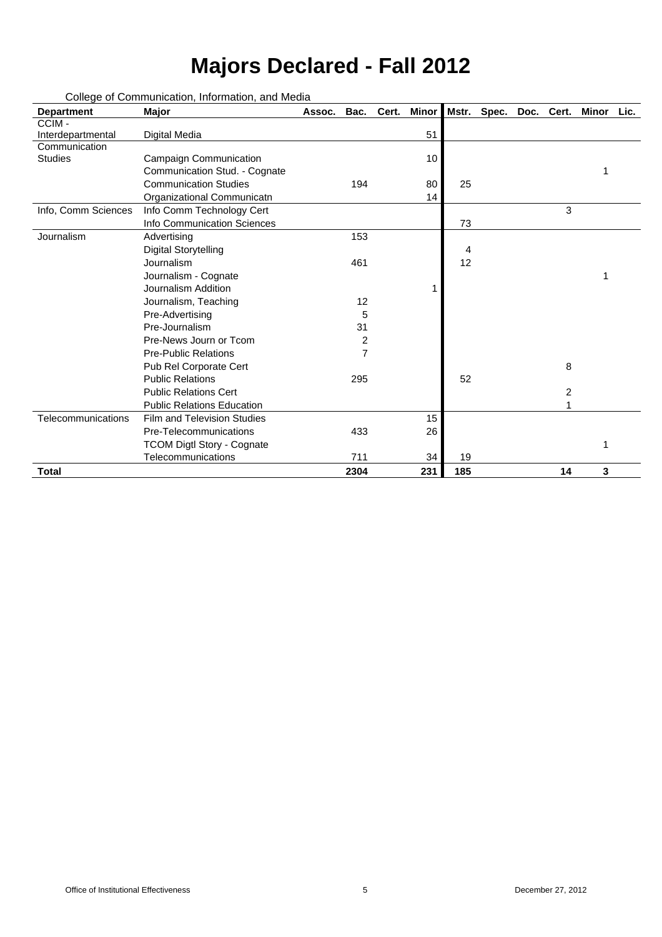| <b>Department</b>   | <b>Major</b>                       | Assoc. | Bac.           | Cert. | <b>Minor</b> |     | Mstr. Spec. | Doc. Cert. |                | Minor | Lic. |
|---------------------|------------------------------------|--------|----------------|-------|--------------|-----|-------------|------------|----------------|-------|------|
| CCIM-               |                                    |        |                |       |              |     |             |            |                |       |      |
| Interdepartmental   | <b>Digital Media</b>               |        |                |       | 51           |     |             |            |                |       |      |
| Communication       |                                    |        |                |       |              |     |             |            |                |       |      |
| <b>Studies</b>      | <b>Campaign Communication</b>      |        |                |       | 10           |     |             |            |                |       |      |
|                     | Communication Stud. - Cognate      |        |                |       |              |     |             |            |                |       |      |
|                     | <b>Communication Studies</b>       |        | 194            |       | 80           | 25  |             |            |                |       |      |
|                     | Organizational Communicatn         |        |                |       | 14           |     |             |            |                |       |      |
| Info, Comm Sciences | Info Comm Technology Cert          |        |                |       |              |     |             |            | 3              |       |      |
|                     | <b>Info Communication Sciences</b> |        |                |       |              | 73  |             |            |                |       |      |
| Journalism          | Advertising                        |        | 153            |       |              |     |             |            |                |       |      |
|                     | <b>Digital Storytelling</b>        |        |                |       |              | 4   |             |            |                |       |      |
|                     | <b>Journalism</b>                  |        | 461            |       |              | 12  |             |            |                |       |      |
|                     | Journalism - Cognate               |        |                |       |              |     |             |            |                |       |      |
|                     | <b>Journalism Addition</b>         |        |                |       |              |     |             |            |                |       |      |
|                     | Journalism, Teaching               |        | 12             |       |              |     |             |            |                |       |      |
|                     | Pre-Advertising                    |        | 5              |       |              |     |             |            |                |       |      |
|                     | Pre-Journalism                     |        | 31             |       |              |     |             |            |                |       |      |
|                     | Pre-News Journ or Tcom             |        | $\overline{2}$ |       |              |     |             |            |                |       |      |
|                     | <b>Pre-Public Relations</b>        |        | 7              |       |              |     |             |            |                |       |      |
|                     | Pub Rel Corporate Cert             |        |                |       |              |     |             |            | 8              |       |      |
|                     | <b>Public Relations</b>            |        | 295            |       |              | 52  |             |            |                |       |      |
|                     | <b>Public Relations Cert</b>       |        |                |       |              |     |             |            | $\overline{c}$ |       |      |
|                     | <b>Public Relations Education</b>  |        |                |       |              |     |             |            |                |       |      |
| Telecommunications  | <b>Film and Television Studies</b> |        |                |       | 15           |     |             |            |                |       |      |
|                     | Pre-Telecommunications             |        | 433            |       | 26           |     |             |            |                |       |      |
|                     | <b>TCOM Digtl Story - Cognate</b>  |        |                |       |              |     |             |            |                | 1     |      |
|                     | <b>Telecommunications</b>          |        | 711            |       | 34           | 19  |             |            |                |       |      |
| <b>Total</b>        |                                    |        | 2304           |       | 231          | 185 |             |            | 14             | 3     |      |

College of Communication, Information, and Media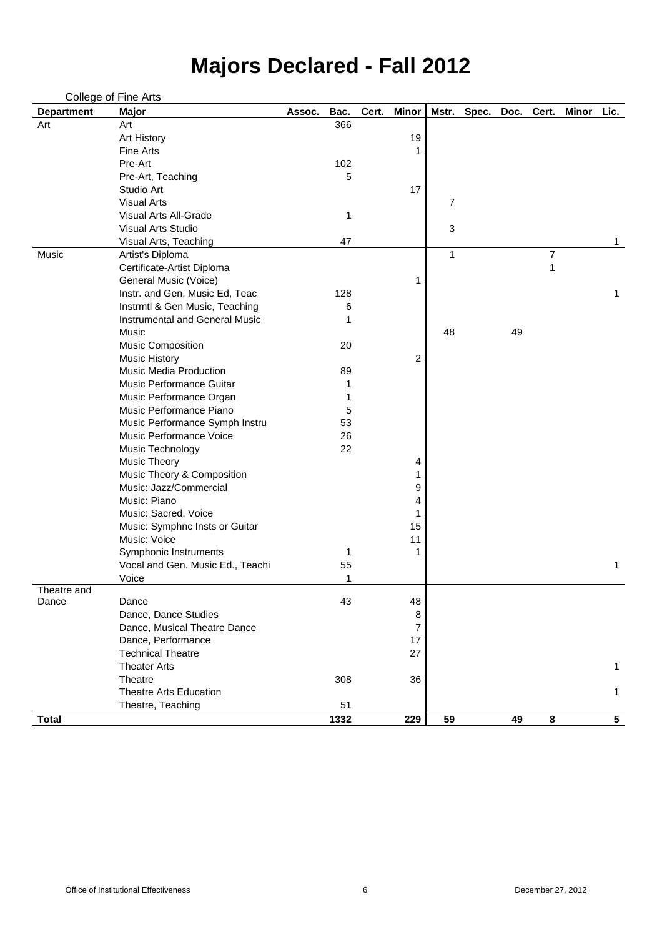|                   | College of Fine Arts                  |        |      |       |                         |    |                        |    |                |              |                 |
|-------------------|---------------------------------------|--------|------|-------|-------------------------|----|------------------------|----|----------------|--------------|-----------------|
| <b>Department</b> | <b>Major</b>                          | Assoc. | Bac. | Cert. | <b>Minor</b>            |    | Mstr. Spec. Doc. Cert. |    |                | <b>Minor</b> | Lic.            |
| Art               | Art                                   |        | 366  |       |                         |    |                        |    |                |              |                 |
|                   | <b>Art History</b>                    |        |      |       | 19                      |    |                        |    |                |              |                 |
|                   | <b>Fine Arts</b>                      |        |      |       | 1                       |    |                        |    |                |              |                 |
|                   | Pre-Art                               |        | 102  |       |                         |    |                        |    |                |              |                 |
|                   | Pre-Art, Teaching                     |        | 5    |       |                         |    |                        |    |                |              |                 |
|                   | Studio Art                            |        |      |       | 17                      |    |                        |    |                |              |                 |
|                   | <b>Visual Arts</b>                    |        |      |       |                         | 7  |                        |    |                |              |                 |
|                   | <b>Visual Arts All-Grade</b>          |        | 1    |       |                         |    |                        |    |                |              |                 |
|                   | <b>Visual Arts Studio</b>             |        |      |       |                         | 3  |                        |    |                |              |                 |
|                   | Visual Arts, Teaching                 |        | 47   |       |                         |    |                        |    |                |              |                 |
| Music             | Artist's Diploma                      |        |      |       |                         | 1  |                        |    | $\overline{7}$ |              |                 |
|                   | Certificate-Artist Diploma            |        |      |       |                         |    |                        |    | 1              |              |                 |
|                   | General Music (Voice)                 |        |      |       | 1                       |    |                        |    |                |              |                 |
|                   | Instr. and Gen. Music Ed, Teac        |        | 128  |       |                         |    |                        |    |                |              | 1               |
|                   | Instrmtl & Gen Music, Teaching        |        | 6    |       |                         |    |                        |    |                |              |                 |
|                   | <b>Instrumental and General Music</b> |        |      |       |                         |    |                        |    |                |              |                 |
|                   | <b>Music</b>                          |        |      |       |                         | 48 |                        | 49 |                |              |                 |
|                   | <b>Music Composition</b>              |        | 20   |       |                         |    |                        |    |                |              |                 |
|                   | <b>Music History</b>                  |        |      |       | $\overline{\mathbf{c}}$ |    |                        |    |                |              |                 |
|                   | <b>Music Media Production</b>         |        | 89   |       |                         |    |                        |    |                |              |                 |
|                   | <b>Music Performance Guitar</b>       |        |      |       |                         |    |                        |    |                |              |                 |
|                   | Music Performance Organ               |        |      |       |                         |    |                        |    |                |              |                 |
|                   | Music Performance Piano               |        | 5    |       |                         |    |                        |    |                |              |                 |
|                   | Music Performance Symph Instru        |        | 53   |       |                         |    |                        |    |                |              |                 |
|                   | <b>Music Performance Voice</b>        |        | 26   |       |                         |    |                        |    |                |              |                 |
|                   | Music Technology                      |        | 22   |       |                         |    |                        |    |                |              |                 |
|                   | <b>Music Theory</b>                   |        |      |       | 4                       |    |                        |    |                |              |                 |
|                   | Music Theory & Composition            |        |      |       |                         |    |                        |    |                |              |                 |
|                   | Music: Jazz/Commercial                |        |      |       | 9                       |    |                        |    |                |              |                 |
|                   | Music: Piano                          |        |      |       | 4                       |    |                        |    |                |              |                 |
|                   | Music: Sacred, Voice                  |        |      |       |                         |    |                        |    |                |              |                 |
|                   | Music: Symphnc Insts or Guitar        |        |      |       | 15                      |    |                        |    |                |              |                 |
|                   | Music: Voice                          |        |      |       | 11                      |    |                        |    |                |              |                 |
|                   | Symphonic Instruments                 |        |      |       | 1                       |    |                        |    |                |              |                 |
|                   | Vocal and Gen. Music Ed., Teachi      |        | 55   |       |                         |    |                        |    |                |              | 1               |
|                   | Voice                                 |        |      |       |                         |    |                        |    |                |              |                 |
| Theatre and       |                                       |        |      |       |                         |    |                        |    |                |              |                 |
| Dance             | Dance                                 |        | 43   |       | 48                      |    |                        |    |                |              |                 |
|                   | Dance, Dance Studies                  |        |      |       | 8                       |    |                        |    |                |              |                 |
|                   | Dance, Musical Theatre Dance          |        |      |       | 7                       |    |                        |    |                |              |                 |
|                   | Dance, Performance                    |        |      |       | 17                      |    |                        |    |                |              |                 |
|                   | <b>Technical Theatre</b>              |        |      |       | 27                      |    |                        |    |                |              |                 |
|                   | <b>Theater Arts</b>                   |        |      |       |                         |    |                        |    |                |              | 1               |
|                   | Theatre                               |        | 308  |       | 36                      |    |                        |    |                |              |                 |
|                   | <b>Theatre Arts Education</b>         |        |      |       |                         |    |                        |    |                |              | 1               |
|                   | Theatre, Teaching                     |        | 51   |       |                         |    |                        |    |                |              |                 |
| <b>Total</b>      |                                       |        | 1332 |       | 229                     | 59 |                        | 49 | 8              |              | $5\phantom{.0}$ |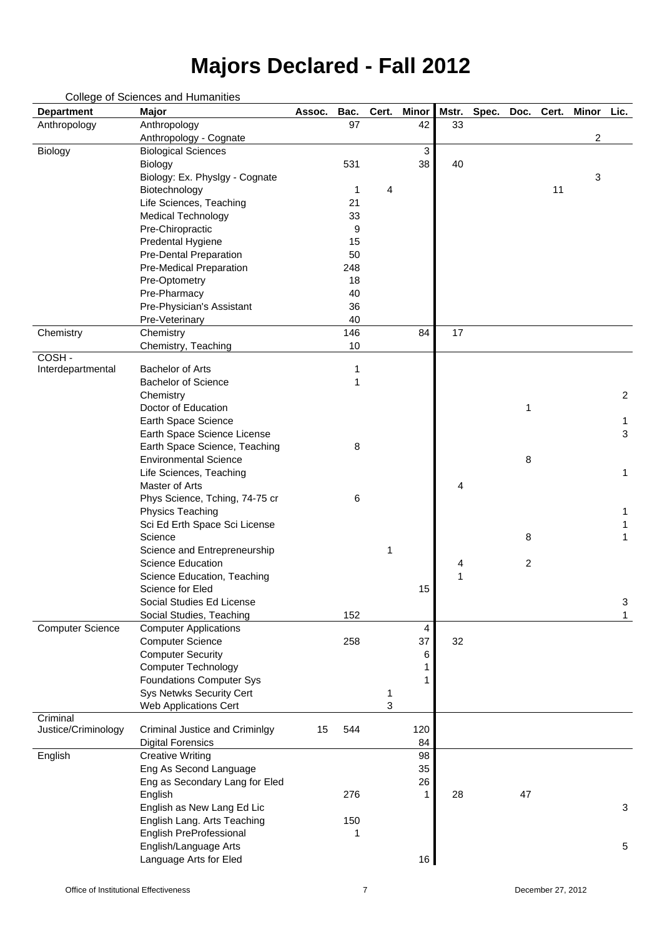| <b>Department</b>       | <b>Major</b>                          | Assoc. | Bac. | Cert. | <b>Minor</b> | Mstr. | Spec. | Doc.           | Cert. | <b>Minor</b>   | Lic. |
|-------------------------|---------------------------------------|--------|------|-------|--------------|-------|-------|----------------|-------|----------------|------|
| Anthropology            | Anthropology                          |        | 97   |       | 42           | 33    |       |                |       |                |      |
|                         | Anthropology - Cognate                |        |      |       |              |       |       |                |       | $\overline{2}$ |      |
| <b>Biology</b>          | <b>Biological Sciences</b>            |        |      |       | 3            |       |       |                |       |                |      |
|                         | <b>Biology</b>                        |        | 531  |       | 38           | 40    |       |                |       |                |      |
|                         | Biology: Ex. Physlgy - Cognate        |        |      |       |              |       |       |                |       | 3              |      |
|                         | Biotechnology                         |        | 1    | 4     |              |       |       |                | 11    |                |      |
|                         | Life Sciences, Teaching               |        | 21   |       |              |       |       |                |       |                |      |
|                         | <b>Medical Technology</b>             |        | 33   |       |              |       |       |                |       |                |      |
|                         | Pre-Chiropractic                      |        | 9    |       |              |       |       |                |       |                |      |
|                         | Predental Hygiene                     |        | 15   |       |              |       |       |                |       |                |      |
|                         | <b>Pre-Dental Preparation</b>         |        | 50   |       |              |       |       |                |       |                |      |
|                         | <b>Pre-Medical Preparation</b>        |        | 248  |       |              |       |       |                |       |                |      |
|                         | Pre-Optometry                         |        | 18   |       |              |       |       |                |       |                |      |
|                         | Pre-Pharmacy                          |        | 40   |       |              |       |       |                |       |                |      |
|                         | Pre-Physician's Assistant             |        | 36   |       |              |       |       |                |       |                |      |
|                         | Pre-Veterinary                        |        | 40   |       |              |       |       |                |       |                |      |
| Chemistry               | Chemistry                             |        | 146  |       | 84           | 17    |       |                |       |                |      |
|                         | Chemistry, Teaching                   |        | 10   |       |              |       |       |                |       |                |      |
| COSH-                   |                                       |        |      |       |              |       |       |                |       |                |      |
| Interdepartmental       | <b>Bachelor of Arts</b>               |        | 1    |       |              |       |       |                |       |                |      |
|                         | <b>Bachelor of Science</b>            |        | 1    |       |              |       |       |                |       |                |      |
|                         | Chemistry                             |        |      |       |              |       |       |                |       |                | 2    |
|                         | Doctor of Education                   |        |      |       |              |       |       | 1              |       |                |      |
|                         | Earth Space Science                   |        |      |       |              |       |       |                |       |                | 1    |
|                         | Earth Space Science License           |        |      |       |              |       |       |                |       |                | 3    |
|                         | Earth Space Science, Teaching         |        | 8    |       |              |       |       |                |       |                |      |
|                         | <b>Environmental Science</b>          |        |      |       |              |       |       | 8              |       |                |      |
|                         | Life Sciences, Teaching               |        |      |       |              |       |       |                |       |                | 1    |
|                         | Master of Arts                        |        |      |       |              | 4     |       |                |       |                |      |
|                         |                                       |        |      |       |              |       |       |                |       |                |      |
|                         | Phys Science, Tching, 74-75 cr        |        | 6    |       |              |       |       |                |       |                |      |
|                         | <b>Physics Teaching</b>               |        |      |       |              |       |       |                |       |                |      |
|                         | Sci Ed Erth Space Sci License         |        |      |       |              |       |       |                |       |                |      |
|                         | Science                               |        |      |       |              |       |       | 8              |       |                |      |
|                         | Science and Entrepreneurship          |        |      | 1     |              |       |       |                |       |                |      |
|                         | <b>Science Education</b>              |        |      |       |              | 4     |       | $\overline{2}$ |       |                |      |
|                         | Science Education, Teaching           |        |      |       |              | 1     |       |                |       |                |      |
|                         | Science for Eled                      |        |      |       | 15           |       |       |                |       |                |      |
|                         | Social Studies Ed License             |        |      |       |              |       |       |                |       |                | 3    |
|                         | Social Studies, Teaching              |        | 152  |       |              |       |       |                |       |                |      |
| <b>Computer Science</b> | <b>Computer Applications</b>          |        |      |       | 4            |       |       |                |       |                |      |
|                         | <b>Computer Science</b>               |        | 258  |       | 37           | 32    |       |                |       |                |      |
|                         | <b>Computer Security</b>              |        |      |       | 6            |       |       |                |       |                |      |
|                         | <b>Computer Technology</b>            |        |      |       |              |       |       |                |       |                |      |
|                         | <b>Foundations Computer Sys</b>       |        |      |       |              |       |       |                |       |                |      |
|                         | <b>Sys Netwks Security Cert</b>       |        |      | 1     |              |       |       |                |       |                |      |
|                         | <b>Web Applications Cert</b>          |        |      | 3     |              |       |       |                |       |                |      |
| Criminal                |                                       |        |      |       |              |       |       |                |       |                |      |
| Justice/Criminology     | <b>Criminal Justice and Criminlgy</b> | 15     | 544  |       | 120          |       |       |                |       |                |      |
|                         | <b>Digital Forensics</b>              |        |      |       | 84           |       |       |                |       |                |      |
| English                 | <b>Creative Writing</b>               |        |      |       | 98           |       |       |                |       |                |      |
|                         | Eng As Second Language                |        |      |       | 35           |       |       |                |       |                |      |
|                         | Eng as Secondary Lang for Eled        |        |      |       | 26           |       |       |                |       |                |      |
|                         | English                               |        | 276  |       | 1            | 28    |       | 47             |       |                |      |
|                         | English as New Lang Ed Lic            |        |      |       |              |       |       |                |       |                | 3    |
|                         | English Lang. Arts Teaching           |        | 150  |       |              |       |       |                |       |                |      |
|                         | <b>English PreProfessional</b>        |        | 1    |       |              |       |       |                |       |                |      |
|                         | English/Language Arts                 |        |      |       |              |       |       |                |       |                | 5    |
|                         | Language Arts for Eled                |        |      |       | 16           |       |       |                |       |                |      |
|                         |                                       |        |      |       |              |       |       |                |       |                |      |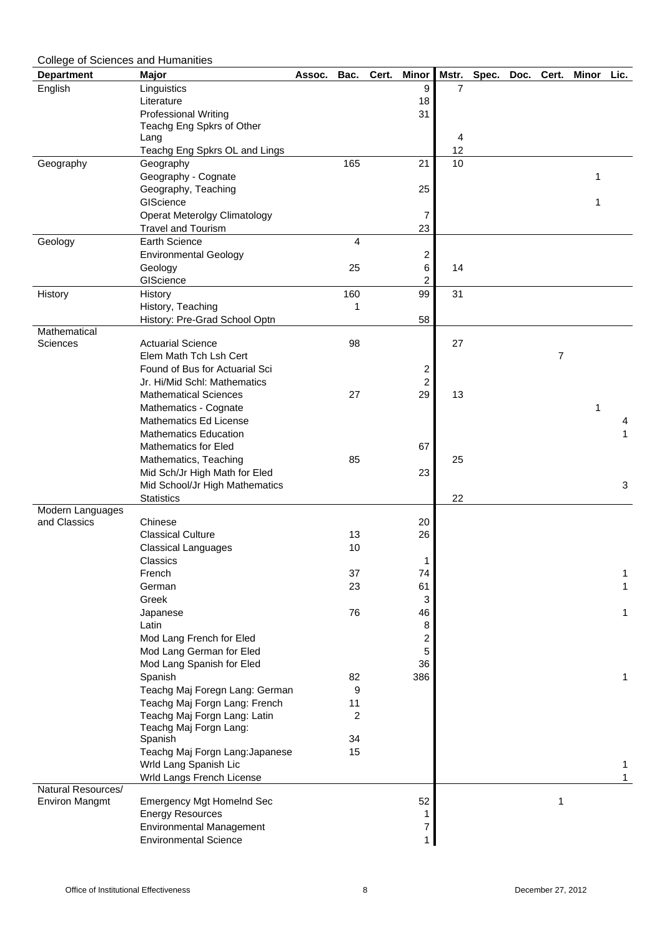| <b>College of Sciences and Humanities</b> |                                                                  |        |                |       |                         |                |       |      |                |       |             |
|-------------------------------------------|------------------------------------------------------------------|--------|----------------|-------|-------------------------|----------------|-------|------|----------------|-------|-------------|
| <b>Department</b>                         | <b>Major</b>                                                     | Assoc. | Bac.           | Cert. | <b>Minor</b>            | Mstr.          | Spec. | Doc. | Cert.          | Minor | Lic.        |
| English                                   | Linguistics                                                      |        |                |       | 9                       | $\overline{7}$ |       |      |                |       |             |
|                                           | Literature                                                       |        |                |       | 18                      |                |       |      |                |       |             |
|                                           | <b>Professional Writing</b>                                      |        |                |       | 31                      |                |       |      |                |       |             |
|                                           | Teachg Eng Spkrs of Other                                        |        |                |       |                         |                |       |      |                |       |             |
|                                           | Lang                                                             |        |                |       |                         | 4              |       |      |                |       |             |
|                                           | Teachg Eng Spkrs OL and Lings                                    |        |                |       |                         | 12             |       |      |                |       |             |
| Geography                                 | Geography                                                        |        | 165            |       | 21                      | 10             |       |      |                |       |             |
|                                           | Geography - Cognate                                              |        |                |       |                         |                |       |      |                | 1     |             |
|                                           | Geography, Teaching<br>GIScience                                 |        |                |       | 25                      |                |       |      |                |       |             |
|                                           |                                                                  |        |                |       |                         |                |       |      |                |       |             |
|                                           | <b>Operat Meterolgy Climatology</b><br><b>Travel and Tourism</b> |        |                |       | 7<br>23                 |                |       |      |                |       |             |
| Geology                                   | <b>Earth Science</b>                                             |        | 4              |       |                         |                |       |      |                |       |             |
|                                           | <b>Environmental Geology</b>                                     |        |                |       | $\overline{\mathbf{c}}$ |                |       |      |                |       |             |
|                                           | Geology                                                          |        | 25             |       | 6                       | 14             |       |      |                |       |             |
|                                           | GIScience                                                        |        |                |       | $\overline{2}$          |                |       |      |                |       |             |
| History                                   | History                                                          |        | 160            |       | 99                      | 31             |       |      |                |       |             |
|                                           | History, Teaching                                                |        |                |       |                         |                |       |      |                |       |             |
|                                           | History: Pre-Grad School Optn                                    |        |                |       | 58                      |                |       |      |                |       |             |
| Mathematical                              |                                                                  |        |                |       |                         |                |       |      |                |       |             |
| <b>Sciences</b>                           | <b>Actuarial Science</b>                                         |        | 98             |       |                         | 27             |       |      |                |       |             |
|                                           | Elem Math Tch Lsh Cert                                           |        |                |       |                         |                |       |      | $\overline{7}$ |       |             |
|                                           | Found of Bus for Actuarial Sci                                   |        |                |       | $\overline{c}$          |                |       |      |                |       |             |
|                                           | Jr. Hi/Mid Schl: Mathematics                                     |        |                |       | $\overline{2}$          |                |       |      |                |       |             |
|                                           | <b>Mathematical Sciences</b>                                     |        | 27             |       | 29                      | 13             |       |      |                |       |             |
|                                           | Mathematics - Cognate                                            |        |                |       |                         |                |       |      |                | 1     |             |
|                                           | <b>Mathematics Ed License</b>                                    |        |                |       |                         |                |       |      |                |       | 4           |
|                                           | <b>Mathematics Education</b>                                     |        |                |       |                         |                |       |      |                |       | 1           |
|                                           | <b>Mathematics for Eled</b>                                      |        |                |       | 67                      |                |       |      |                |       |             |
|                                           | Mathematics, Teaching                                            |        | 85             |       |                         | 25             |       |      |                |       |             |
|                                           | Mid Sch/Jr High Math for Eled                                    |        |                |       | 23                      |                |       |      |                |       |             |
|                                           | Mid School/Jr High Mathematics                                   |        |                |       |                         |                |       |      |                |       | 3           |
|                                           | <b>Statistics</b>                                                |        |                |       |                         | 22             |       |      |                |       |             |
| Modern Languages                          | Chinese                                                          |        |                |       |                         |                |       |      |                |       |             |
| and Classics                              | <b>Classical Culture</b>                                         |        | 13             |       | 20<br>26                |                |       |      |                |       |             |
|                                           | <b>Classical Languages</b>                                       |        | 10             |       |                         |                |       |      |                |       |             |
|                                           | Classics                                                         |        |                |       | 1                       |                |       |      |                |       |             |
|                                           | French                                                           |        | 37             |       | 74                      |                |       |      |                |       |             |
|                                           | German                                                           |        | 23             |       | 61                      |                |       |      |                |       |             |
|                                           | Greek                                                            |        |                |       | 3                       |                |       |      |                |       |             |
|                                           | Japanese                                                         |        | 76             |       | 46                      |                |       |      |                |       | $\mathbf 1$ |
|                                           | Latin                                                            |        |                |       | 8                       |                |       |      |                |       |             |
|                                           | Mod Lang French for Eled                                         |        |                |       | 2                       |                |       |      |                |       |             |
|                                           | Mod Lang German for Eled                                         |        |                |       | 5                       |                |       |      |                |       |             |
|                                           | Mod Lang Spanish for Eled                                        |        |                |       | 36                      |                |       |      |                |       |             |
|                                           | Spanish                                                          |        | 82             |       | 386                     |                |       |      |                |       | 1           |
|                                           | Teachg Maj Foregn Lang: German                                   |        | 9              |       |                         |                |       |      |                |       |             |
|                                           | Teachg Maj Forgn Lang: French                                    |        | 11             |       |                         |                |       |      |                |       |             |
|                                           | Teachg Maj Forgn Lang: Latin                                     |        | $\overline{2}$ |       |                         |                |       |      |                |       |             |
|                                           | Teachg Maj Forgn Lang:                                           |        |                |       |                         |                |       |      |                |       |             |
|                                           | Spanish                                                          |        | 34             |       |                         |                |       |      |                |       |             |
|                                           | Teachg Maj Forgn Lang: Japanese                                  |        | 15             |       |                         |                |       |      |                |       |             |
|                                           | Wrld Lang Spanish Lic                                            |        |                |       |                         |                |       |      |                |       |             |
|                                           | Wrld Langs French License                                        |        |                |       |                         |                |       |      |                |       |             |
| Natural Resources/                        |                                                                  |        |                |       |                         |                |       |      |                |       |             |
| <b>Environ Mangmt</b>                     | <b>Emergency Mgt Homelnd Sec</b>                                 |        |                |       | 52                      |                |       |      | 1              |       |             |
|                                           | <b>Energy Resources</b><br><b>Environmental Management</b>       |        |                |       | 1<br>7                  |                |       |      |                |       |             |
|                                           | <b>Environmental Science</b>                                     |        |                |       | 1                       |                |       |      |                |       |             |
|                                           |                                                                  |        |                |       |                         |                |       |      |                |       |             |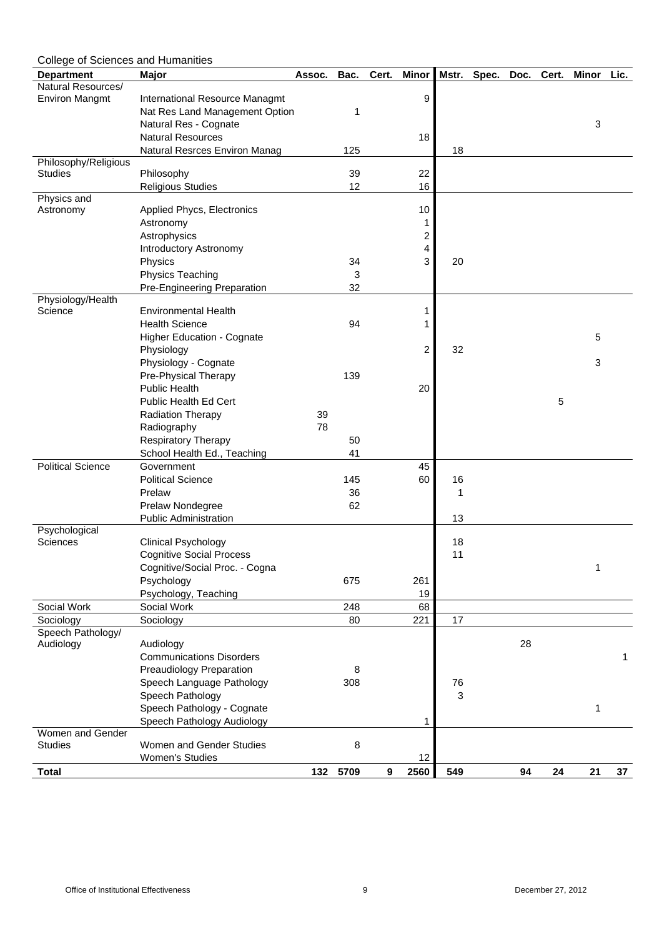| <b>College of Sciences and Humanities</b> |                                                                   |        |          |       |                |          |       |      |       |       |      |
|-------------------------------------------|-------------------------------------------------------------------|--------|----------|-------|----------------|----------|-------|------|-------|-------|------|
| <b>Department</b>                         | <b>Major</b>                                                      | Assoc. | Bac.     | Cert. | <b>Minor</b>   | Mstr.    | Spec. | Doc. | Cert. | Minor | Lic. |
| Natural Resources/                        |                                                                   |        |          |       |                |          |       |      |       |       |      |
| <b>Environ Mangmt</b>                     | International Resource Managmt                                    |        |          |       | 9              |          |       |      |       |       |      |
|                                           | Nat Res Land Management Option                                    |        | 1        |       |                |          |       |      |       |       |      |
|                                           | Natural Res - Cognate                                             |        |          |       |                |          |       |      |       | 3     |      |
|                                           | <b>Natural Resources</b>                                          |        |          |       | 18             |          |       |      |       |       |      |
|                                           | <b>Natural Resrces Environ Manag</b>                              |        | 125      |       |                | 18       |       |      |       |       |      |
| Philosophy/Religious<br><b>Studies</b>    | Philosophy                                                        |        | 39       |       | 22             |          |       |      |       |       |      |
|                                           | <b>Religious Studies</b>                                          |        | 12       |       | 16             |          |       |      |       |       |      |
| Physics and                               |                                                                   |        |          |       |                |          |       |      |       |       |      |
| Astronomy                                 | <b>Applied Phycs, Electronics</b>                                 |        |          |       | 10             |          |       |      |       |       |      |
|                                           | Astronomy                                                         |        |          |       |                |          |       |      |       |       |      |
|                                           | Astrophysics                                                      |        |          |       | 2              |          |       |      |       |       |      |
|                                           | <b>Introductory Astronomy</b>                                     |        |          |       | 4              |          |       |      |       |       |      |
|                                           | Physics                                                           |        | 34       |       | 3              | 20       |       |      |       |       |      |
|                                           | Physics Teaching                                                  |        | 3        |       |                |          |       |      |       |       |      |
|                                           | <b>Pre-Engineering Preparation</b>                                |        | 32       |       |                |          |       |      |       |       |      |
| Physiology/Health                         |                                                                   |        |          |       |                |          |       |      |       |       |      |
| Science                                   | <b>Environmental Health</b>                                       |        |          |       |                |          |       |      |       |       |      |
|                                           | <b>Health Science</b>                                             |        | 94       |       |                |          |       |      |       |       |      |
|                                           | <b>Higher Education - Cognate</b>                                 |        |          |       |                |          |       |      |       | 5     |      |
|                                           | Physiology                                                        |        |          |       | $\overline{2}$ | 32       |       |      |       |       |      |
|                                           | Physiology - Cognate                                              |        |          |       |                |          |       |      |       | 3     |      |
|                                           | Pre-Physical Therapy                                              |        | 139      |       |                |          |       |      |       |       |      |
|                                           | <b>Public Health</b>                                              |        |          |       | 20             |          |       |      |       |       |      |
|                                           | <b>Public Health Ed Cert</b>                                      |        |          |       |                |          |       |      | 5     |       |      |
|                                           | <b>Radiation Therapy</b>                                          | 39     |          |       |                |          |       |      |       |       |      |
|                                           | Radiography                                                       | 78     |          |       |                |          |       |      |       |       |      |
|                                           | <b>Respiratory Therapy</b>                                        |        | 50       |       |                |          |       |      |       |       |      |
|                                           | School Health Ed., Teaching                                       |        | 41       |       |                |          |       |      |       |       |      |
| <b>Political Science</b>                  | Government                                                        |        |          |       | 45             |          |       |      |       |       |      |
|                                           | <b>Political Science</b>                                          |        | 145      |       | 60             | 16       |       |      |       |       |      |
|                                           | Prelaw                                                            |        | 36       |       |                | 1        |       |      |       |       |      |
|                                           | Prelaw Nondegree                                                  |        | 62       |       |                |          |       |      |       |       |      |
|                                           | <b>Public Administration</b>                                      |        |          |       |                | 13       |       |      |       |       |      |
| Psychological                             |                                                                   |        |          |       |                |          |       |      |       |       |      |
| <b>Sciences</b>                           | <b>Clinical Psychology</b>                                        |        |          |       |                | 18<br>11 |       |      |       |       |      |
|                                           | <b>Cognitive Social Process</b><br>Cognitive/Social Proc. - Cogna |        |          |       |                |          |       |      |       | 1     |      |
|                                           | Psychology                                                        |        | 675      |       | 261            |          |       |      |       |       |      |
|                                           | Psychology, Teaching                                              |        |          |       | 19             |          |       |      |       |       |      |
| Social Work                               | Social Work                                                       |        | 248      |       | 68             |          |       |      |       |       |      |
| Sociology                                 | Sociology                                                         |        | 80       |       | 221            | 17       |       |      |       |       |      |
| Speech Pathology/                         |                                                                   |        |          |       |                |          |       |      |       |       |      |
| Audiology                                 | Audiology                                                         |        |          |       |                |          |       | 28   |       |       |      |
|                                           | <b>Communications Disorders</b>                                   |        |          |       |                |          |       |      |       |       | 1    |
|                                           | <b>Preaudiology Preparation</b>                                   |        | 8        |       |                |          |       |      |       |       |      |
|                                           | Speech Language Pathology                                         |        | 308      |       |                | 76       |       |      |       |       |      |
|                                           | Speech Pathology                                                  |        |          |       |                | 3        |       |      |       |       |      |
|                                           | Speech Pathology - Cognate                                        |        |          |       |                |          |       |      |       | 1     |      |
|                                           | Speech Pathology Audiology                                        |        |          |       |                |          |       |      |       |       |      |
| Women and Gender                          |                                                                   |        |          |       |                |          |       |      |       |       |      |
| <b>Studies</b>                            | Women and Gender Studies                                          |        | 8        |       |                |          |       |      |       |       |      |
|                                           | <b>Women's Studies</b>                                            |        |          |       | 12             |          |       |      |       |       |      |
| <b>Total</b>                              |                                                                   |        | 132 5709 | 9     | 2560           | 549      |       | 94   | 24    | 21    | 37   |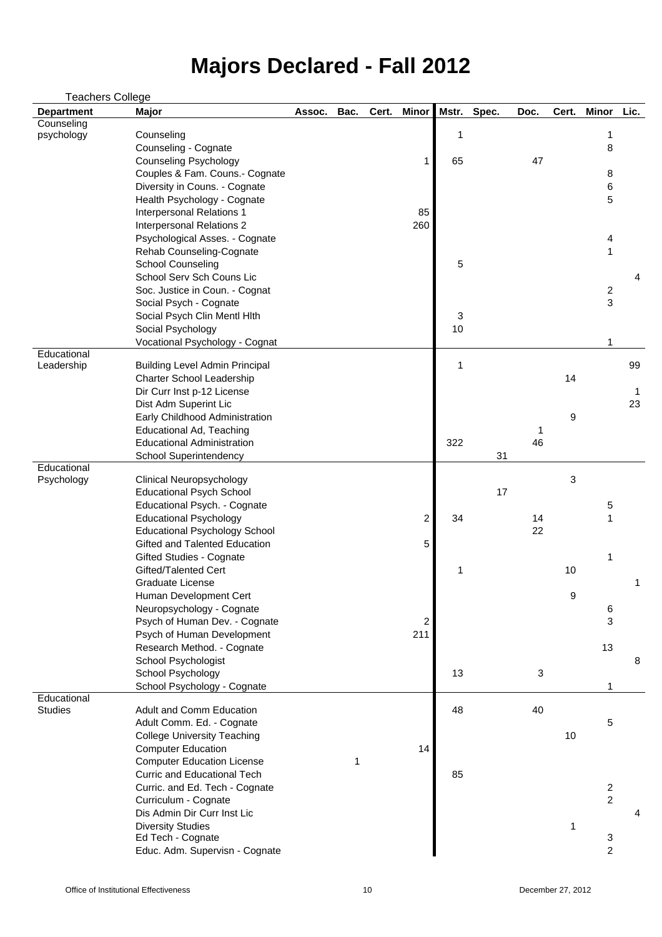| <b>Teachers College</b> |                                       |        |      |       |                |       |       |      |       |                |      |
|-------------------------|---------------------------------------|--------|------|-------|----------------|-------|-------|------|-------|----------------|------|
| <b>Department</b>       | <b>Major</b>                          | Assoc. | Bac. | Cert. | <b>Minor</b>   | Mstr. | Spec. | Doc. | Cert. | <b>Minor</b>   | Lic. |
| Counseling              |                                       |        |      |       |                |       |       |      |       |                |      |
| psychology              | Counseling                            |        |      |       |                | 1     |       |      |       | 1              |      |
|                         | Counseling - Cognate                  |        |      |       |                |       |       |      |       | 8              |      |
|                         | <b>Counseling Psychology</b>          |        |      |       |                | 65    |       | 47   |       |                |      |
|                         | Couples & Fam. Couns.- Cognate        |        |      |       |                |       |       |      |       | 8              |      |
|                         | Diversity in Couns. - Cognate         |        |      |       |                |       |       |      |       | 6              |      |
|                         | Health Psychology - Cognate           |        |      |       |                |       |       |      |       | 5              |      |
|                         | <b>Interpersonal Relations 1</b>      |        |      |       | 85             |       |       |      |       |                |      |
|                         | <b>Interpersonal Relations 2</b>      |        |      |       | 260            |       |       |      |       |                |      |
|                         | Psychological Asses. - Cognate        |        |      |       |                |       |       |      |       | 4              |      |
|                         | <b>Rehab Counseling-Cognate</b>       |        |      |       |                |       |       |      |       |                |      |
|                         | <b>School Counseling</b>              |        |      |       |                | 5     |       |      |       |                |      |
|                         | School Serv Sch Couns Lic             |        |      |       |                |       |       |      |       |                | 4    |
|                         | Soc. Justice in Coun. - Cognat        |        |      |       |                |       |       |      |       | $\overline{2}$ |      |
|                         | Social Psych - Cognate                |        |      |       |                |       |       |      |       | 3              |      |
|                         | Social Psych Clin Mentl Hlth          |        |      |       |                | 3     |       |      |       |                |      |
|                         | Social Psychology                     |        |      |       |                | 10    |       |      |       |                |      |
|                         | Vocational Psychology - Cognat        |        |      |       |                |       |       |      |       |                |      |
| Educational             |                                       |        |      |       |                | 1     |       |      |       |                |      |
| Leadership              | <b>Building Level Admin Principal</b> |        |      |       |                |       |       |      |       |                | 99   |
|                         | <b>Charter School Leadership</b>      |        |      |       |                |       |       |      | 14    |                |      |
|                         | Dir Curr Inst p-12 License            |        |      |       |                |       |       |      |       |                |      |
|                         | Dist Adm Superint Lic                 |        |      |       |                |       |       |      |       |                | 23   |
|                         | Early Childhood Administration        |        |      |       |                |       |       |      | 9     |                |      |
|                         | <b>Educational Ad, Teaching</b>       |        |      |       |                |       |       |      |       |                |      |
|                         | <b>Educational Administration</b>     |        |      |       |                | 322   |       | 46   |       |                |      |
| Educational             | <b>School Superintendency</b>         |        |      |       |                |       | 31    |      |       |                |      |
| Psychology              | <b>Clinical Neuropsychology</b>       |        |      |       |                |       |       |      | 3     |                |      |
|                         | <b>Educational Psych School</b>       |        |      |       |                |       | 17    |      |       |                |      |
|                         | Educational Psych. - Cognate          |        |      |       |                |       |       |      |       | 5              |      |
|                         | <b>Educational Psychology</b>         |        |      |       | 2 <sup>1</sup> | 34    |       | 14   |       |                |      |
|                         | <b>Educational Psychology School</b>  |        |      |       |                |       |       | 22   |       |                |      |
|                         | <b>Gifted and Talented Education</b>  |        |      |       | 5              |       |       |      |       |                |      |
|                         | <b>Gifted Studies - Cognate</b>       |        |      |       |                |       |       |      |       | 1              |      |
|                         | Gifted/Talented Cert                  |        |      |       |                | 1     |       |      | 10    |                |      |
|                         | <b>Graduate License</b>               |        |      |       |                |       |       |      |       |                |      |
|                         | Human Development Cert                |        |      |       |                |       |       |      | 9     |                |      |
|                         | Neuropsychology - Cognate             |        |      |       |                |       |       |      |       | 6              |      |
|                         | Psych of Human Dev. - Cognate         |        |      |       | 2              |       |       |      |       | 3              |      |
|                         | Psych of Human Development            |        |      |       | 211            |       |       |      |       |                |      |
|                         | Research Method. - Cognate            |        |      |       |                |       |       |      |       | 13             |      |
|                         | <b>School Psychologist</b>            |        |      |       |                |       |       |      |       |                | 8    |
|                         | School Psychology                     |        |      |       |                | 13    |       | 3    |       |                |      |
|                         | School Psychology - Cognate           |        |      |       |                |       |       |      |       |                |      |
| Educational             |                                       |        |      |       |                |       |       |      |       |                |      |
| <b>Studies</b>          | <b>Adult and Comm Education</b>       |        |      |       |                | 48    |       | 40   |       |                |      |
|                         | Adult Comm. Ed. - Cognate             |        |      |       |                |       |       |      |       | 5              |      |
|                         | <b>College University Teaching</b>    |        |      |       |                |       |       |      | 10    |                |      |
|                         | <b>Computer Education</b>             |        |      |       | 14             |       |       |      |       |                |      |
|                         | <b>Computer Education License</b>     |        | 1    |       |                |       |       |      |       |                |      |
|                         | <b>Curric and Educational Tech</b>    |        |      |       |                | 85    |       |      |       |                |      |
|                         | Curric. and Ed. Tech - Cognate        |        |      |       |                |       |       |      |       | $\overline{2}$ |      |
|                         | Curriculum - Cognate                  |        |      |       |                |       |       |      |       | $\overline{2}$ |      |
|                         | Dis Admin Dir Curr Inst Lic           |        |      |       |                |       |       |      |       |                | 4    |
|                         | <b>Diversity Studies</b>              |        |      |       |                |       |       |      |       |                |      |
|                         | Ed Tech - Cognate                     |        |      |       |                |       |       |      |       | 3              |      |
|                         | Educ. Adm. Supervisn - Cognate        |        |      |       |                |       |       |      |       | 2              |      |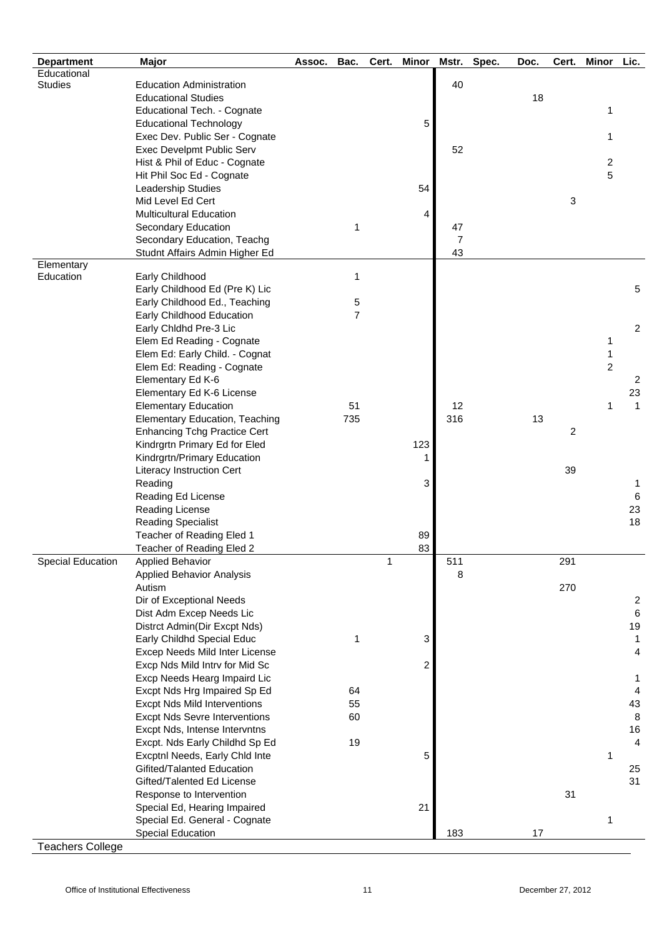| <b>Department</b>        | <b>Major</b>                                                 | Assoc. | Bac.                | Cert. | <b>Minor</b> | Mstr.          | Spec. | Doc. | Cert. | <b>Minor</b>        | Lic.                 |
|--------------------------|--------------------------------------------------------------|--------|---------------------|-------|--------------|----------------|-------|------|-------|---------------------|----------------------|
| Educational              |                                                              |        |                     |       |              |                |       |      |       |                     |                      |
| <b>Studies</b>           | <b>Education Administration</b>                              |        |                     |       |              | 40             |       |      |       |                     |                      |
|                          | <b>Educational Studies</b>                                   |        |                     |       |              |                |       | 18   |       |                     |                      |
|                          | <b>Educational Tech. - Cognate</b>                           |        |                     |       |              |                |       |      |       | 1                   |                      |
|                          | <b>Educational Technology</b>                                |        |                     |       | 5            |                |       |      |       |                     |                      |
|                          | Exec Dev. Public Ser - Cognate                               |        |                     |       |              |                |       |      |       | 1                   |                      |
|                          | Exec Develpmt Public Serv                                    |        |                     |       |              | 52             |       |      |       |                     |                      |
|                          | Hist & Phil of Educ - Cognate                                |        |                     |       |              |                |       |      |       | 2                   |                      |
|                          | Hit Phil Soc Ed - Cognate                                    |        |                     |       |              |                |       |      |       | 5                   |                      |
|                          | Leadership Studies                                           |        |                     |       | 54           |                |       |      |       |                     |                      |
|                          | Mid Level Ed Cert                                            |        |                     |       |              |                |       |      | 3     |                     |                      |
|                          | <b>Multicultural Education</b>                               |        |                     |       | 4            |                |       |      |       |                     |                      |
|                          | <b>Secondary Education</b>                                   |        | 1                   |       |              | 47             |       |      |       |                     |                      |
|                          | Secondary Education, Teachg                                  |        |                     |       |              | $\overline{7}$ |       |      |       |                     |                      |
|                          | Studnt Affairs Admin Higher Ed                               |        |                     |       |              | 43             |       |      |       |                     |                      |
| Elementary               |                                                              |        |                     |       |              |                |       |      |       |                     |                      |
| Education                | Early Childhood                                              |        | 1                   |       |              |                |       |      |       |                     |                      |
|                          | Early Childhood Ed (Pre K) Lic                               |        |                     |       |              |                |       |      |       |                     | 5                    |
|                          | Early Childhood Ed., Teaching                                |        | 5<br>$\overline{7}$ |       |              |                |       |      |       |                     |                      |
|                          | Early Childhood Education                                    |        |                     |       |              |                |       |      |       |                     | 2                    |
|                          | Early Chldhd Pre-3 Lic                                       |        |                     |       |              |                |       |      |       |                     |                      |
|                          | Elem Ed Reading - Cognate                                    |        |                     |       |              |                |       |      |       | 1                   |                      |
|                          | Elem Ed: Early Child. - Cognat                               |        |                     |       |              |                |       |      |       | 1<br>$\overline{2}$ |                      |
|                          | Elem Ed: Reading - Cognate                                   |        |                     |       |              |                |       |      |       |                     |                      |
|                          | Elementary Ed K-6                                            |        |                     |       |              |                |       |      |       |                     | 2                    |
|                          | Elementary Ed K-6 License                                    |        |                     |       |              |                |       |      |       |                     | 23                   |
|                          | <b>Elementary Education</b>                                  |        | 51                  |       |              | 12             |       |      |       | 1                   | $\mathbf{1}$         |
|                          | <b>Elementary Education, Teaching</b>                        |        | 735                 |       |              | 316            |       | 13   |       |                     |                      |
|                          | <b>Enhancing Tchg Practice Cert</b>                          |        |                     |       |              |                |       |      | 2     |                     |                      |
|                          | Kindrgrtn Primary Ed for Eled                                |        |                     |       | 123          |                |       |      |       |                     |                      |
|                          | Kindrgrtn/Primary Education                                  |        |                     |       |              |                |       |      | 39    |                     |                      |
|                          | <b>Literacy Instruction Cert</b>                             |        |                     |       |              |                |       |      |       |                     |                      |
|                          | Reading                                                      |        |                     |       | 3            |                |       |      |       |                     | 1                    |
|                          | <b>Reading Ed License</b>                                    |        |                     |       |              |                |       |      |       |                     | 6                    |
|                          | <b>Reading License</b>                                       |        |                     |       |              |                |       |      |       |                     | 23<br>18             |
|                          | <b>Reading Specialist</b>                                    |        |                     |       |              |                |       |      |       |                     |                      |
|                          | Teacher of Reading Eled 1                                    |        |                     |       | 89           |                |       |      |       |                     |                      |
|                          | Teacher of Reading Eled 2                                    |        |                     |       | 83           |                |       |      |       |                     |                      |
| <b>Special Education</b> | <b>Applied Behavior</b>                                      |        |                     | 1     |              | 511            |       |      | 291   |                     |                      |
|                          | <b>Applied Behavior Analysis</b>                             |        |                     |       |              | 8              |       |      |       |                     |                      |
|                          | Autism                                                       |        |                     |       |              |                |       |      | 270   |                     |                      |
|                          | Dir of Exceptional Needs                                     |        |                     |       |              |                |       |      |       |                     | $\overline{2}$       |
|                          | Dist Adm Excep Needs Lic                                     |        |                     |       |              |                |       |      |       |                     | $6\phantom{1}6$      |
|                          | Distrct Admin(Dir Excpt Nds)                                 |        |                     |       |              |                |       |      |       |                     | 19                   |
|                          | Early Childhd Special Educ                                   |        | 1                   |       | 3            |                |       |      |       |                     | $\mathbf 1$          |
|                          | Excep Needs Mild Inter License                               |        |                     |       |              |                |       |      |       |                     | 4                    |
|                          | Excp Nds Mild Intrv for Mid Sc                               |        |                     |       | 2            |                |       |      |       |                     |                      |
|                          | Excp Needs Hearg Impaird Lic                                 |        |                     |       |              |                |       |      |       |                     | 1                    |
|                          | Excpt Nds Hrg Impaired Sp Ed                                 |        | 64                  |       |              |                |       |      |       |                     | 4                    |
|                          | <b>Excpt Nds Mild Interventions</b>                          |        | 55                  |       |              |                |       |      |       |                     | 43<br>8              |
|                          | <b>Excpt Nds Sevre Interventions</b>                         |        | 60                  |       |              |                |       |      |       |                     |                      |
|                          | Excpt Nds, Intense Intervntns                                |        |                     |       |              |                |       |      |       |                     | 16<br>$\overline{4}$ |
|                          | Excpt. Nds Early Childhd Sp Ed                               |        | 19                  |       |              |                |       |      |       |                     |                      |
|                          | Excptnl Needs, Early Chld Inte<br>Gifited/Talanted Education |        |                     |       | 5            |                |       |      |       | 1                   |                      |
|                          | Gifted/Talented Ed License                                   |        |                     |       |              |                |       |      |       |                     | 25<br>31             |
|                          |                                                              |        |                     |       |              |                |       |      | 31    |                     |                      |
|                          | Response to Intervention                                     |        |                     |       | 21           |                |       |      |       |                     |                      |
|                          | Special Ed, Hearing Impaired                                 |        |                     |       |              |                |       |      |       |                     |                      |
|                          | Special Ed. General - Cognate<br><b>Special Education</b>    |        |                     |       |              | 183            |       | 17   |       | 1                   |                      |
| <b>Teachers College</b>  |                                                              |        |                     |       |              |                |       |      |       |                     |                      |
|                          |                                                              |        |                     |       |              |                |       |      |       |                     |                      |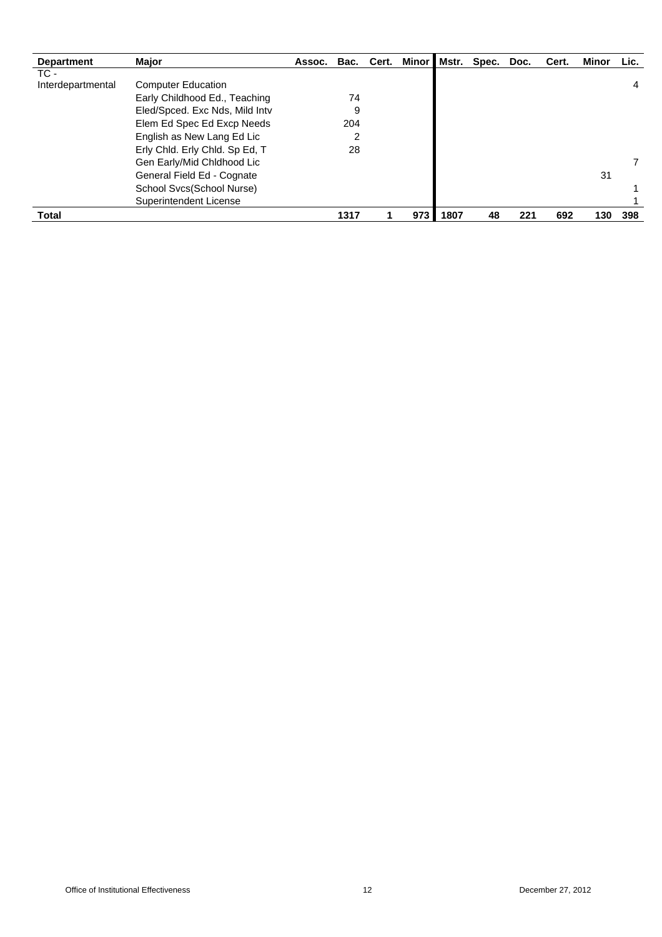| <b>Department</b> | <b>Major</b>                   | Assoc. | Bac. | Cert. | Minor I | Mstr. | Spec. | Doc. | Cert. | <b>Minor</b> | Lic. |
|-------------------|--------------------------------|--------|------|-------|---------|-------|-------|------|-------|--------------|------|
| TC -              |                                |        |      |       |         |       |       |      |       |              |      |
| Interdepartmental | <b>Computer Education</b>      |        |      |       |         |       |       |      |       |              | 4    |
|                   | Early Childhood Ed., Teaching  |        | 74   |       |         |       |       |      |       |              |      |
|                   | Eled/Spced. Exc Nds, Mild Intv |        | 9    |       |         |       |       |      |       |              |      |
|                   | Elem Ed Spec Ed Excp Needs     |        | 204  |       |         |       |       |      |       |              |      |
|                   | English as New Lang Ed Lic     |        | 2    |       |         |       |       |      |       |              |      |
|                   | Erly Chid. Erly Chid. Sp Ed, T |        | 28   |       |         |       |       |      |       |              |      |
|                   | Gen Early/Mid Chldhood Lic     |        |      |       |         |       |       |      |       |              |      |
|                   | General Field Ed - Cognate     |        |      |       |         |       |       |      |       | 31           |      |
|                   | School Svcs(School Nurse)      |        |      |       |         |       |       |      |       |              |      |
|                   | <b>Superintendent License</b>  |        |      |       |         |       |       |      |       |              |      |
| <b>Total</b>      |                                |        | 1317 |       | 973     | 1807  | 48    | 221  | 692   | 130          | 398  |